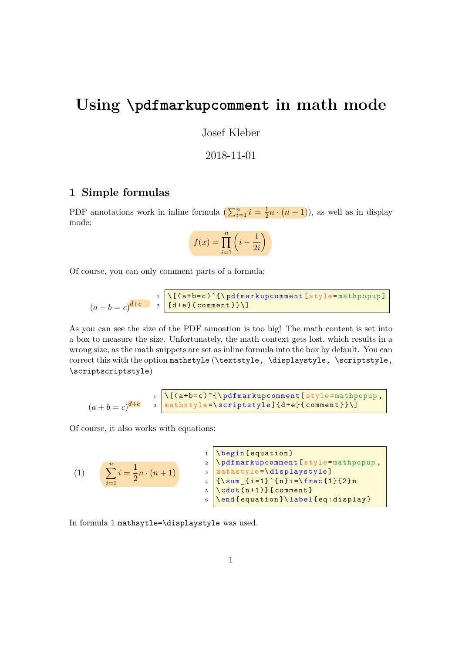## **Using \pdfmarkupcomment in math mode**

Josef Kleber

## 2018-11-01

## **1 Simple formulas**

PDF annotations work in inline formula ( $\sum_{i=1}^{n} i = \frac{1}{2}$  $\frac{1}{2}n \cdot (n+1)$ , as well as in display mode:

$$
f(x) = \prod_{i=1}^{n} \left( i - \frac{1}{2i} \right)
$$

Of course, you can only comment parts of a formula:

$$
(a+b=c)^{d+e}
$$
  $\frac{1}{(d+e)^{d+e}}$   $\frac{1}{(d+e)^{d+e}}$ 

As you can see the size of the PDF annoation is too big! The math content is set into a box to measure the size. Unfortunately, the math context gets lost, which results in a wrong size, as the math snippets are set as inline formula into the box by default. You can correct this with the option mathstyle (\textstyle, \displaystyle, \scriptstyle, \scriptscriptstyle)

$$
(a+b=c)^{d+e}
$$
<sup>1</sup> $\bigg\{\big(\mathbf{a}+\mathbf{b}=c\big)^{\hat{\mathbf{c}}}\big\}$ <sup>1</sup> $\bigg\{\mathbf{a}+\mathbf{b}=c\mathbf{b}\big\}$ <sup>2</sup> $\bigg\{\mathbf{a}+\mathbf{b}+\mathbf{b}\big\}$ <sup>3</sup> $\bigg\{\mathbf{a}+\mathbf{b}\big\}$ <sup>4</sup> $\bigg\{\mathbf{a}+\mathbf{b}\big\}$ <sup>5</sup> $\bigg\{\mathbf{a}+\mathbf{b}\big\}$ <sup>6</sup> $\bigg\{\mathbf{a}+\mathbf{b}\big\}$ <sup>6</sup> $\bigg\{\mathbf{a}+\mathbf{b}\big\}$ <sup>7</sup> $\bigg\{\mathbf{a}+\mathbf{b}\big\}$ <sup>8</sup> $\bigg\{\mathbf{a}+\mathbf{b}\big\}$ <sup>9</sup> $\bigg\{\mathbf{a}+\mathbf{b}\big\}$ <sup>9</sup> $\bigg\{\mathbf{a}+\mathbf{b}\big\}$ <sup>9</sup> $\bigg\{\mathbf{a}+\mathbf{b}\big\}$ <sup>9</sup> $\bigg\{\mathbf{a}+\mathbf{b}\big\}$ <sup>9</sup> $\bigg\{\mathbf{a}+\mathbf{b}\big\}$ 

Of course, it also works with equations:

<span id="page-0-0"></span>(1) 
$$
\sum_{i=1}^{n} i = \frac{1}{2}n \cdot (n+1)
$$
 
$$
\sum_{i=1}^{n} i = \frac{1}{2}n \cdot (n+1)
$$
 
$$
\sum_{i=1}^{n} i = \frac{1}{2}n \cdot (n+1)
$$
 
$$
\sum_{i=1}^{n} i = \frac{1}{2}n \cdot (n+1)
$$
 
$$
\sum_{i=1}^{n} i = \frac{1}{2}n \cdot (n+1)}
$$
 
$$
\sum_{i=1}^{n} i = \frac{1}{2}n \cdot (n+1)}
$$
 
$$
\sum_{i=1}^{n} i = \frac{1}{2}n \cdot (n+1) \cdot \frac{1}{2}n
$$

In formula [1](#page-0-0) mathsytle=\displaystyle was used.